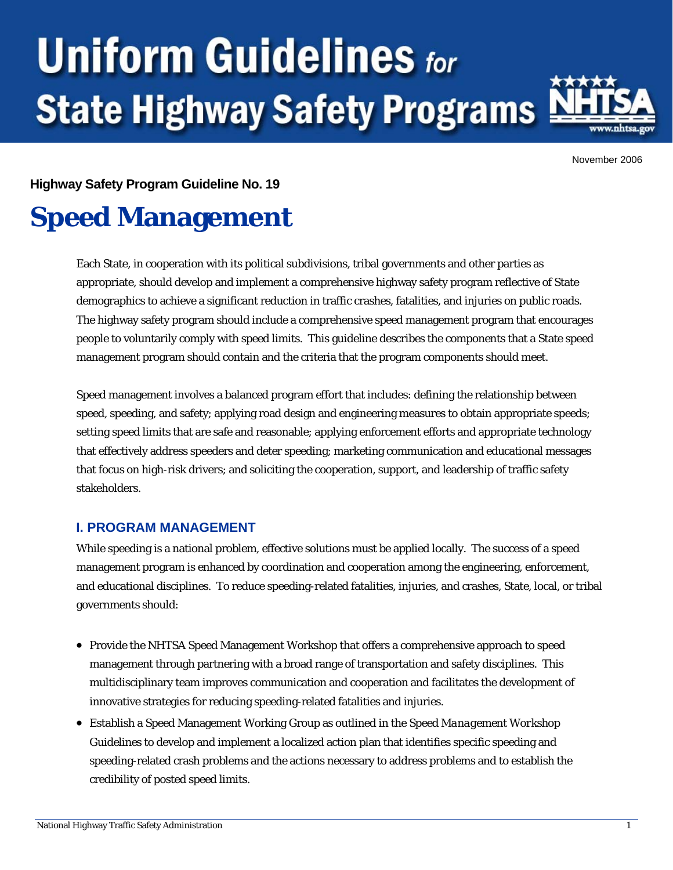# **Uniform Guidelines for State Highway Safety Programs**



November 2006

**Highway Safety Program Guideline No. 19** 

# **Speed Management**

Each State, in cooperation with its political subdivisions, tribal governments and other parties as appropriate, should develop and implement a comprehensive highway safety program reflective of State demographics to achieve a significant reduction in traffic crashes, fatalities, and injuries on public roads. The highway safety program should include a comprehensive speed management program that encourages people to voluntarily comply with speed limits. This guideline describes the components that a State speed management program should contain and the criteria that the program components should meet.

Speed management involves a balanced program effort that includes: defining the relationship between speed, speeding, and safety; applying road design and engineering measures to obtain appropriate speeds; setting speed limits that are safe and reasonable; applying enforcement efforts and appropriate technology that effectively address speeders and deter speeding; marketing communication and educational messages that focus on high-risk drivers; and soliciting the cooperation, support, and leadership of traffic safety stakeholders.

## **I. PROGRAM MANAGEMENT**

While speeding is a national problem, effective solutions must be applied locally. The success of a speed management program is enhanced by coordination and cooperation among the engineering, enforcement, and educational disciplines. To reduce speeding-related fatalities, injuries, and crashes, State, local, or tribal governments should:

- Provide the NHTSA Speed Management Workshop that offers a comprehensive approach to speed management through partnering with a broad range of transportation and safety disciplines. This multidisciplinary team improves communication and cooperation and facilitates the development of innovative strategies for reducing speeding-related fatalities and injuries.
- Establish a Speed Management Working Group as outlined in the *Speed Management Workshop Guidelines* to develop and implement a localized action plan that identifies specific speeding and speeding-related crash problems and the actions necessary to address problems and to establish the credibility of posted speed limits.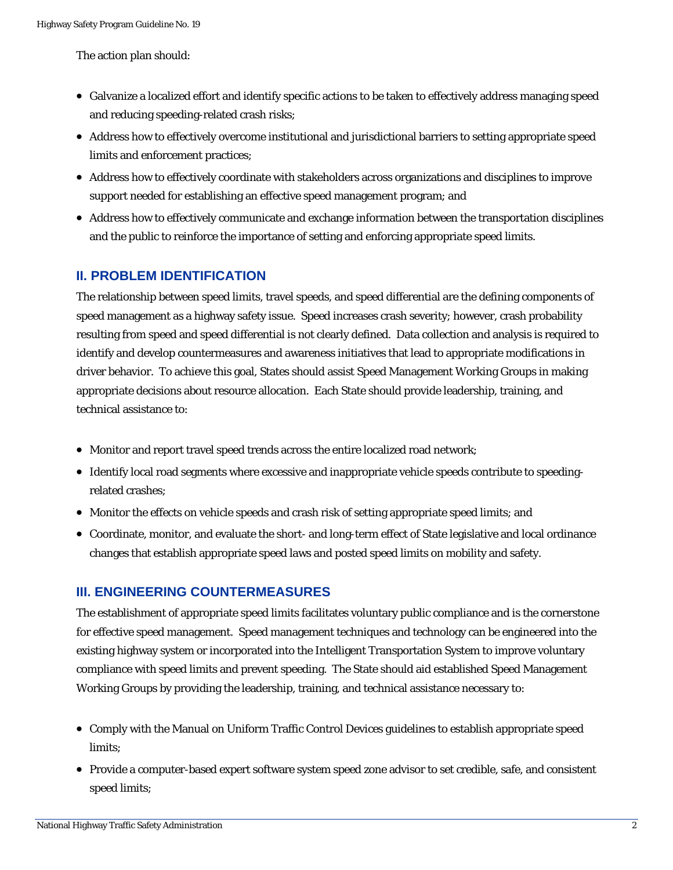The action plan should:

- Galvanize a localized effort and identify specific actions to be taken to effectively address managing speed and reducing speeding-related crash risks;
- Address how to effectively overcome institutional and jurisdictional barriers to setting appropriate speed limits and enforcement practices;
- Address how to effectively coordinate with stakeholders across organizations and disciplines to improve support needed for establishing an effective speed management program; and
- Address how to effectively communicate and exchange information between the transportation disciplines and the public to reinforce the importance of setting and enforcing appropriate speed limits.

#### **II. PROBLEM IDENTIFICATION**

The relationship between speed limits, travel speeds, and speed differential are the defining components of speed management as a highway safety issue. Speed increases crash severity; however, crash probability resulting from speed and speed differential is not clearly defined. Data collection and analysis is required to identify and develop countermeasures and awareness initiatives that lead to appropriate modifications in driver behavior. To achieve this goal, States should assist Speed Management Working Groups in making appropriate decisions about resource allocation. Each State should provide leadership, training, and technical assistance to:

- Monitor and report travel speed trends across the entire localized road network;
- Identify local road segments where excessive and inappropriate vehicle speeds contribute to speeding related crashes;
- Monitor the effects on vehicle speeds and crash risk of setting appropriate speed limits; and
- Coordinate, monitor, and evaluate the short- and long-term effect of State legislative and local ordinance changes that establish appropriate speed laws and posted speed limits on mobility and safety.

#### **III. ENGINEERING COUNTERMEASURES**

for effective speed management. Speed management techniques and technology can be engineered into the compliance with speed limits and prevent speeding. The State should aid established Speed Management Working Groups by providing the leadership, training, and technical assistance necessary to: The establishment of appropriate speed limits facilitates voluntary public compliance and is the cornerstone existing highway system or incorporated into the Intelligent Transportation System to improve voluntary

- Comply with the Manual on Uniform Traffic Control Devices guidelines to establish appropriate speed limits;
- Provide a computer-based expert software system speed zone advisor to set credible, safe, and consistent speed limits;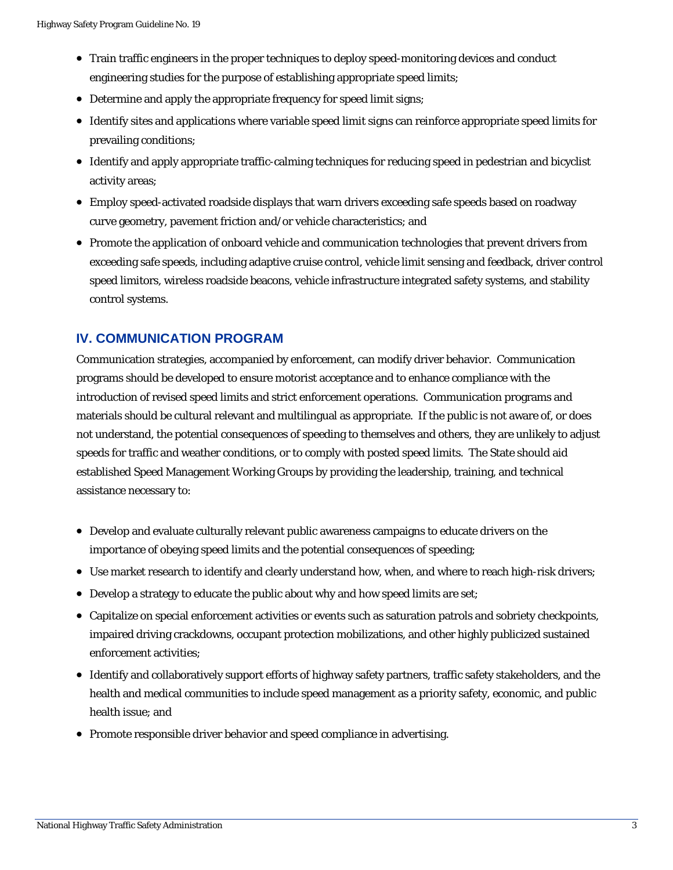- Train traffic engineers in the proper techniques to deploy speed-monitoring devices and conduct engineering studies for the purpose of establishing appropriate speed limits;
- Determine and apply the appropriate frequency for speed limit signs;
- prevailing conditions; • Identify sites and applications where variable speed limit signs can reinforce appropriate speed limits for
- Identify and apply appropriate traffic-calming techniques for reducing speed in pedestrian and bicyclist activity areas;
- Employ speed-activated roadside displays that warn drivers exceeding safe speeds based on roadway curve geometry, pavement friction and/or vehicle characteristics; and
- Promote the application of onboard vehicle and communication technologies that prevent drivers from exceeding safe speeds, including adaptive cruise control, vehicle limit sensing and feedback, driver control speed limitors, wireless roadside beacons, vehicle infrastructure integrated safety systems, and stability control systems.

#### **IV. COMMUNICATION PROGRAM**

materials should be cultural relevant and multilingual as appropriate. If the public is not aware of, or does not understand, the potential consequences of speeding to themselves and others, they are unlikely to adjust speeds for traffic and weather conditions, or to comply with posted speed limits. The State should aid established Speed Management Working Groups by providing the leadership, training, and technical as sistance necessary to: Communication strategies, accompanied by enforcement, can modify driver behavior. Communication programs should be developed to ensure motorist acceptance and to enhance compliance with the introduction of revised speed limits and strict enforcement operations. Communication programs and

- Develop and evaluate culturally relevant public awareness campaigns to educate drivers on the importance of obeying speed limits and the potential consequences of speeding;
- Use market research to identify and clearly understand how, when, and where to reach high-risk drivers;
- Develop a strategy to educate the public about why and how speed limits are set;
- enforcement activities; • Capitalize on special enforcement activities or events such as saturation patrols and sobriety checkpoints, impaired driving crackdowns, occupant protection mobilizations, and other highly publicized sustained
- Identify and collaboratively support efforts of highway safety partners, traffic safety stakeholders, and the health and medical communities to include speed management as a priority safety, economic, and public health issue; and
- Promote responsible driver behavior and speed compliance in advertising.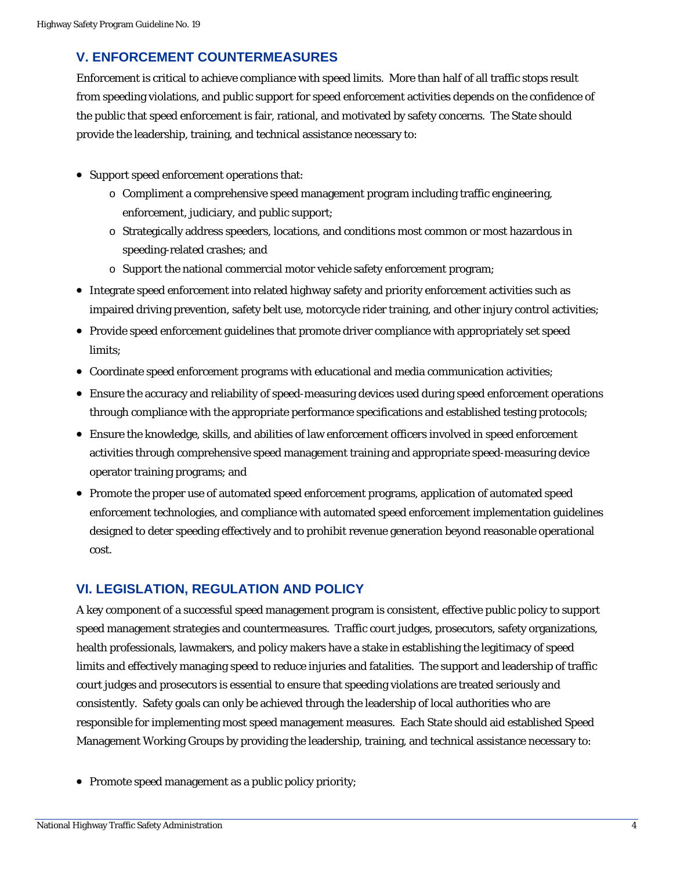# **V. ENFORCEMENT COUNTERMEASURES**

Enforcement is critical to achieve compliance with speed limits. More than half of all traffic stops result from speeding violations, and public support for speed enforcement activities depends on the confidence of the public that speed enforcement is fair, rational, and motivated by safety concerns. The State should provid e the leadership, training, and technical assistance necessary to:

- Sup port speed enforcement operations that:
	- $\circ$  Compliment a comprehensive speed management program including traffic engineering, enforcement, judiciary, and public support;
	- o Strategically address speeders, locations, and conditions most common or most hazardous in speeding-related crashes; and
	- $\circ$  Support the national commercial motor vehicle safety enforcement program;
- Integrate speed enforcement into related highway safety and priority enforcement activities such as impaired driving prevention, safety belt use, motorcycle rider training, and other injury control activities;
- Provide speed enforcement guidelines that promote driver compliance with appropriately set speed limits;
- Coordinate speed enforcement programs with educational and media communication activities;
- Ensure the accuracy and reliability of speed-measuring devices used during speed enforcement operations through compliance with the appropriate performance specifications and established testing protocols;
- Ensure the knowledge, skills, and abilities of law enforcement officers involved in speed enforcement operator training programs; and activities through comprehensive speed management training and appropriate speed-measuring device
- Promote the proper use of automated speed enforcement programs, application of automated speed enforcement technologies, and compliance with automated speed enforcement implementation guidelines designed to deter speeding effectively and to prohibit revenue generation beyond reasonable operational cost.

## **VI. LEGISLATION, REGULATION AND POLICY**

A key component of a successful speed management program is consistent, effective public policy to support speed management strategies and countermeasures. Traffic court judges, prosecutors, safety organizations, court judges and prosecutors is essential to ensure that speeding violations are treated seriously and consistently. Safety goals can only be achieved through the leadership of local authorities who are Management Working Groups by providing the leadership, training, and technical assistance necessary to: health professionals, lawmakers, and policy makers have a stake in establishing the legitimacy of speed limits and effectively managing speed to reduce injuries and fatalities. The support and leadership of traffic responsible for implementing most speed management measures. Each State should aid established Speed

• Promote speed management as a public policy priority;